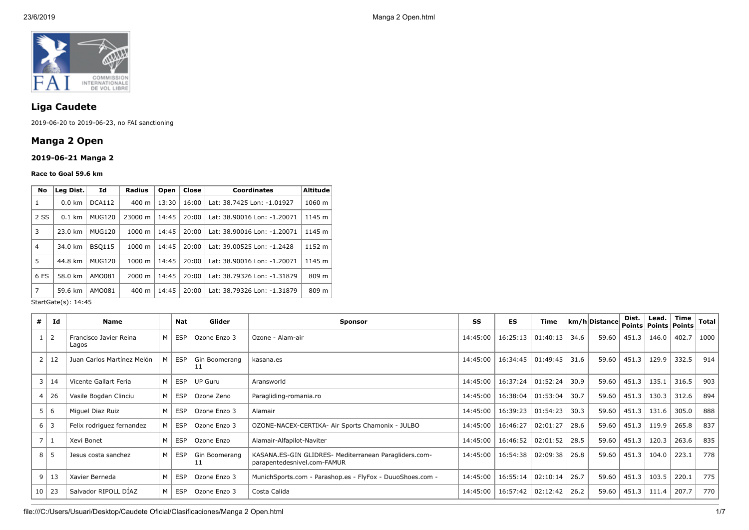

# **Liga Caudete**

2019-06-20 to 2019-06-23, no FAI sanctioning

# **Manga 2 Open**

### **2019-06-21 Manga 2**

#### **Race to Goal 59.6 km**

|                           | Id            | <b>Radius</b>              | Open  | Close | <b>Coordinates</b>          | <b>Altitude</b> |
|---------------------------|---------------|----------------------------|-------|-------|-----------------------------|-----------------|
| $0.0 \text{ km}$          | DCA112        | $400 \; \text{m}$          | 13:30 | 16:00 | Lat: 38.7425 Lon: -1.01927  | 1060 m          |
| 2 SS<br>$0.1$ km          |               | 23000 m                    | 14:45 | 20:00 | Lat: 38.90016 Lon: -1.20071 | 1145 m          |
| 23.0 km                   | <b>MUG120</b> | $1000 \;{\rm m}$           | 14:45 | 20:00 | Lat: 38.90016 Lon: -1.20071 | 1145 m          |
| <b>BSO115</b><br>34.0 km  |               | $1000 \;{\rm m}$           | 14:45 | 20:00 | Lat: 39.00525 Lon: -1.2428  | 1152 m          |
| 44.8 km                   | <b>MUG120</b> | 1000 m                     | 14:45 | 20:00 | Lat: 38.90016 Lon: -1.20071 | 1145 m          |
| 6 ES<br>58.0 km<br>AMO081 |               | $2000 \; \text{m}$         | 14:45 | 20:00 | Lat: 38.79326 Lon: -1.31879 | 809 m           |
| 59.6 km                   | AM0081        | 400 m                      | 14:45 | 20:00 | Lat: 38.79326 Lon: -1.31879 | 809 m           |
|                           |               | Leg Dist.<br><b>MUG120</b> |       |       |                             |                 |

StartGate(s): 14:45

| #              | Id             | <b>Name</b>                     |   | Nat        | Glider              | <b>Sponsor</b>                                                                       | SS       | <b>ES</b> | <b>Time</b> |      | km/h Distance | Dist.<br>Points   Points   Points | Lead. | Time  | <b>Total</b> |
|----------------|----------------|---------------------------------|---|------------|---------------------|--------------------------------------------------------------------------------------|----------|-----------|-------------|------|---------------|-----------------------------------|-------|-------|--------------|
| $\mathbf{1}$   | $\overline{2}$ | Francisco Javier Reina<br>Lagos | M | <b>ESP</b> | Ozone Enzo 3        | Ozone - Alam-air                                                                     | 14:45:00 | 16:25:13  | 01:40:13    | 34.6 | 59.60         | 451.3                             | 146.0 | 402.7 | 1000         |
| $\overline{2}$ | 12             | Juan Carlos Martínez Melón      | M | <b>ESP</b> | Gin Boomerang<br>11 | kasana.es                                                                            | 14:45:00 | 16:34:45  | 01:49:45    | 31.6 | 59.60         | 451.3                             | 129.9 | 332.5 | 914          |
| 3              | 14             | Vicente Gallart Feria           | M | <b>ESP</b> | <b>UP Guru</b>      | Aransworld                                                                           | 14:45:00 | 16:37:24  | 01:52:24    | 30.9 | 59.60         | 451.3                             | 135.1 | 316.5 | 903          |
| $\overline{4}$ | 26             | Vasile Bogdan Clinciu           | M | <b>ESP</b> | Ozone Zeno          | Paragliding-romania.ro                                                               | 14:45:00 | 16:38:04  | 01:53:04    | 30.7 | 59.60         | 451.3                             | 130.3 | 312.6 | 894          |
|                | 5 6            | Miguel Diaz Ruiz                | M | <b>ESP</b> | Ozone Enzo 3        | Alamair                                                                              | 14:45:00 | 16:39:23  | 01:54:23    | 30.3 | 59.60         | 451.3                             | 131.6 | 305.0 | 888          |
|                | $6 \mid 3$     | Felix rodriguez fernandez       | M | <b>ESP</b> | Ozone Enzo 3        | OZONE-NACEX-CERTIKA- Air Sports Chamonix - JULBO                                     | 14:45:00 | 16:46:27  | 02:01:27    | 28.6 | 59.60         | 451.3                             | 119.9 | 265.8 | 837          |
| $\overline{7}$ | 1              | Xevi Bonet                      | M | <b>ESP</b> | Ozone Enzo          | Alamair-Alfapilot-Naviter                                                            | 14:45:00 | 16:46:52  | 02:01:52    | 28.5 | 59.60         | 451.3                             | 120.3 | 263.6 | 835          |
| 8              | 65             | Jesus costa sanchez             | M | <b>ESP</b> | Gin Boomerang<br>11 | KASANA.ES-GIN GLIDRES- Mediterranean Paragliders.com-<br>parapentedesnivel.com-FAMUR | 14:45:00 | 16:54:38  | 02:09:38    | 26.8 | 59.60         | 451.3                             | 104.0 | 223.1 | 778          |
| 9              | 13             | Xavier Berneda                  | M | <b>ESP</b> | Ozone Enzo 3        | MunichSports.com - Parashop.es - FlyFox - DuuoShoes.com -                            | 14:45:00 | 16:55:14  | 02:10:14    | 26.7 | 59.60         | 451.3                             | 103.5 | 220.1 | 775          |
| 10             | $\vert$ 23     | Salvador RIPOLL DIAZ            | M | <b>ESP</b> | Ozone Enzo 3        | Costa Calida                                                                         | 14:45:00 | 16:57:42  | 02:12:42    | 26.2 | 59.60         | 451.3                             | 111.4 | 207.7 | 770          |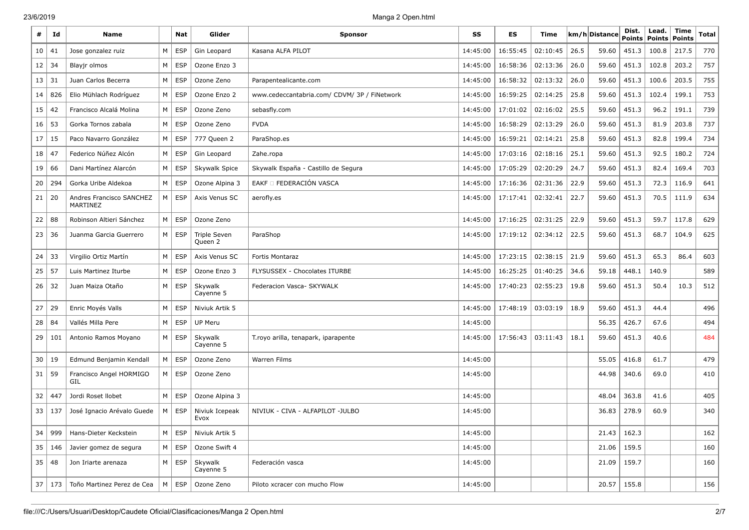| #  | Id     | <b>Name</b>                          |          | Nat        | Glider                         | <b>Sponsor</b>                               | SS       | ES       | Time     |      | km/h Distance | Dist.<br><b>Points</b> | Lead.<br>Points | <b>Time</b><br>Points | <b>Total</b> |
|----|--------|--------------------------------------|----------|------------|--------------------------------|----------------------------------------------|----------|----------|----------|------|---------------|------------------------|-----------------|-----------------------|--------------|
| 10 | 41     | Jose gonzalez ruiz                   | М        | <b>ESP</b> | Gin Leopard                    | Kasana ALFA PILOT                            | 14:45:00 | 16:55:45 | 02:10:45 | 26.5 | 59.60         | 451.3                  | 100.8           | 217.5                 | 770          |
| 12 | 34     | Blayjr olmos                         | M        | <b>ESP</b> | Ozone Enzo 3                   |                                              | 14:45:00 | 16:58:36 | 02:13:36 | 26.0 | 59.60         | 451.3                  | 102.8           | 203.2                 | 757          |
| 13 | 31     | Juan Carlos Becerra                  | М        | <b>ESP</b> | Ozone Zeno                     | Parapentealicante.com                        | 14:45:00 | 16:58:32 | 02:13:32 | 26.0 | 59.60         | 451.3                  | 100.6           | 203.5                 | 755          |
| 14 | 826    | Elio Mühlach Rodríguez               | М        | <b>ESP</b> | Ozone Enzo 2                   | www.cedeccantabria.com/ CDVM/ 3P / FiNetwork | 14:45:00 | 16:59:25 | 02:14:25 | 25.8 | 59.60         | 451.3                  | 102.4           | 199.1                 | 753          |
| 15 | 42     | Francisco Alcalá Molina              | М        | <b>ESP</b> | Ozone Zeno                     | sebasfly.com                                 | 14:45:00 | 17:01:02 | 02:16:02 | 25.5 | 59.60         | 451.3                  | 96.2            | 191.1                 | 739          |
| 16 | 53     | Gorka Tornos zabala                  | M        | <b>ESP</b> | Ozone Zeno                     | <b>FVDA</b>                                  | 14:45:00 | 16:58:29 | 02:13:29 | 26.0 | 59.60         | 451.3                  | 81.9            | 203.8                 | 737          |
| 17 | 15     | Paco Navarro González                | M        | <b>ESP</b> | 777 Queen 2                    | ParaShop.es                                  | 14:45:00 | 16:59:21 | 02:14:21 | 25.8 | 59.60         | 451.3                  | 82.8            | 199.4                 | 734          |
| 18 | 47     | Federico Núñez Alcón                 | M        | <b>ESP</b> | Gin Leopard                    | Zahe.ropa                                    | 14:45:00 | 17:03:16 | 02:18:16 | 25.1 | 59.60         | 451.3                  | 92.5            | 180.2                 | 724          |
| 19 | 66     | Dani Martínez Alarcón                | М        | <b>ESP</b> | Skywalk Spice                  | Skywalk España - Castillo de Segura          | 14:45:00 | 17:05:29 | 02:20:29 | 24.7 | 59.60         | 451.3                  | 82.4            | 169.4                 | 703          |
| 20 | 294    | Gorka Uribe Aldekoa                  | M        | <b>ESP</b> | Ozone Alpina 3                 | EAKF O FEDERACIÓN VASCA                      | 14:45:00 | 17:16:36 | 02:31:36 | 22.9 | 59.60         | 451.3                  | 72.3            | 116.9                 | 641          |
| 21 | 20     | Andres Francisco SANCHEZ<br>MARTINEZ | М        | <b>ESP</b> | Axis Venus SC                  | aerofly.es                                   | 14:45:00 | 17:17:41 | 02:32:41 | 22.7 | 59.60         | 451.3                  | 70.5            | 111.9                 | 634          |
| 22 | 88     | Robinson Altieri Sánchez             | M        | <b>ESP</b> | Ozone Zeno                     |                                              | 14:45:00 | 17:16:25 | 02:31:25 | 22.9 | 59.60         | 451.3                  | 59.7            | 117.8                 | 629          |
| 23 | 36     | Juanma Garcia Guerrero               | M        | <b>ESP</b> | <b>Triple Seven</b><br>Queen 2 | ParaShop                                     | 14:45:00 | 17:19:12 | 02:34:12 | 22.5 | 59.60         | 451.3                  | 68.7            | 104.9                 | 625          |
| 24 | 33     | Virgilio Ortiz Martín                | М        | <b>ESP</b> | Axis Venus SC                  | <b>Fortis Montaraz</b>                       | 14:45:00 | 17:23:15 | 02:38:15 | 21.9 | 59.60         | 451.3                  | 65.3            | 86.4                  | 603          |
| 25 | 57     | Luis Martinez Iturbe                 | M        | <b>ESP</b> | Ozone Enzo 3                   | FLYSUSSEX - Chocolates ITURBE                | 14:45:00 | 16:25:25 | 01:40:25 | 34.6 | 59.18         | 448.1                  | 140.9           |                       | 589          |
| 26 | 32     | Juan Maiza Otaño                     | М        | ESP        | Skywalk<br>Cayenne 5           | Federacion Vasca- SKYWALK                    | 14:45:00 | 17:40:23 | 02:55:23 | 19.8 | 59.60         | 451.3                  | 50.4            | 10.3                  | 512          |
| 27 | 29     | Enric Moyés Valls                    | М        | ESP        | Niviuk Artik 5                 |                                              | 14:45:00 | 17:48:19 | 03:03:19 | 18.9 | 59.60         | 451.3                  | 44.4            |                       | 496          |
| 28 | 84     | Vallés Milla Pere                    | М        | <b>ESP</b> | <b>UP Meru</b>                 |                                              | 14:45:00 |          |          |      | 56.35         | 426.7                  | 67.6            |                       | 494          |
| 29 | 101    | Antonio Ramos Moyano                 | M        | <b>ESP</b> | Skywalk<br>Cayenne 5           | T.royo arilla, tenapark, iparapente          | 14:45:00 | 17:56:43 | 03:11:43 | 18.1 | 59.60         | 451.3                  | 40.6            |                       | 484          |
| 30 | 19     | Edmund Benjamin Kendall              | М        | <b>ESP</b> | Ozone Zeno                     | Warren Films                                 | 14:45:00 |          |          |      | 55.05         | 416.8                  | 61.7            |                       | 479          |
| 31 | 59     | Francisco Angel HORMIGO<br>GIL       | M        | <b>ESP</b> | Ozone Zeno                     |                                              | 14:45:00 |          |          |      | 44.98         | 340.6                  | 69.0            |                       | 410          |
| 32 | 447    | Jordi Roset Ilobet                   | M        | <b>ESP</b> | Ozone Alpina 3                 |                                              | 14:45:00 |          |          |      | 48.04         | 363.8                  | 41.6            |                       | 405          |
| 33 | 137    | José Ignacio Arévalo Guede           | М        | <b>ESP</b> | Niviuk Icepeak<br>Evox         | NIVIUK - CIVA - ALFAPILOT -JULBO             | 14:45:00 |          |          |      | 36.83         | 278.9                  | 60.9            |                       | 340          |
| 34 | 999    | Hans-Dieter Keckstein                | M        | <b>ESP</b> | Niviuk Artik 5                 |                                              | 14:45:00 |          |          |      | 21.43         | 162.3                  |                 |                       | 162          |
| 35 | 146    | Javier gomez de segura               | М        | <b>ESP</b> | Ozone Swift 4                  |                                              | 14:45:00 |          |          |      | 21.06         | 159.5                  |                 |                       | 160          |
| 35 | 48     | Jon Iriarte arenaza                  | $M \mid$ | ESP        | Skywalk<br>Cayenne 5           | Federación vasca                             | 14:45:00 |          |          |      | 21.09         | 159.7                  |                 |                       | 160          |
|    | 37 173 | Toño Martinez Perez de Cea           | M        | <b>ESP</b> | Ozone Zeno                     | Piloto xcracer con mucho Flow                | 14:45:00 |          |          |      | 20.57         | 155.8                  |                 |                       | 156          |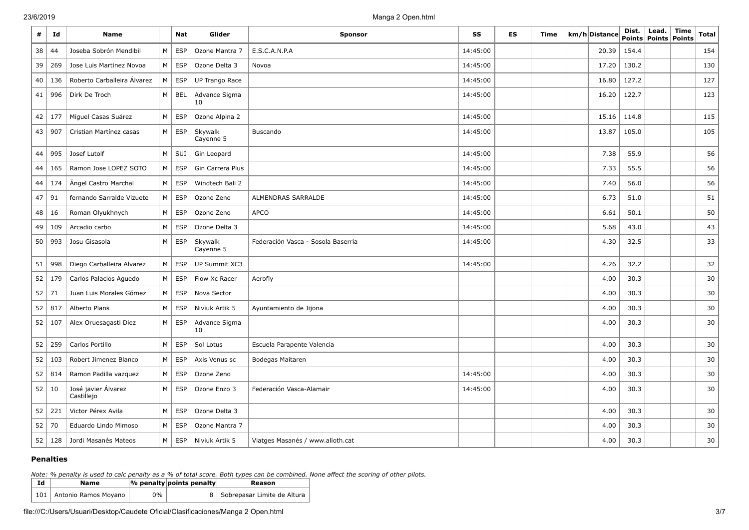| #  | Id       | <b>Name</b>                       |           | Nat        | Glider               | <b>Sponsor</b>                     | SS       | ES | Time | km/h Distance | Dist. | Lead.<br>Points   Points | Time<br>Points | Total |
|----|----------|-----------------------------------|-----------|------------|----------------------|------------------------------------|----------|----|------|---------------|-------|--------------------------|----------------|-------|
| 38 | 44       | Joseba Sobrón Mendibil            | M         | <b>ESP</b> | Ozone Mantra 7       | E.S.C.A.N.P.A                      | 14:45:00 |    |      | 20.39         | 154.4 |                          |                | 154   |
| 39 | 269      | Jose Luis Martinez Novoa          | M         | <b>ESP</b> | Ozone Delta 3        | Novoa                              | 14:45:00 |    |      | 17.20         | 130.2 |                          |                | 130   |
| 40 | 136      | Roberto Carballeira Álvarez       | M         | <b>ESP</b> | UP Trango Race       |                                    | 14:45:00 |    |      | 16.80         | 127.2 |                          |                | 127   |
| 41 | 996      | Dirk De Troch                     | M         | <b>BEL</b> | Advance Sigma<br>10  |                                    | 14:45:00 |    |      | 16.20         | 122.7 |                          |                | 123   |
| 42 | 177      | Miguel Casas Suárez               | M         | <b>ESP</b> | Ozone Alpina 2       |                                    | 14:45:00 |    |      | 15.16         | 114.8 |                          |                | 115   |
|    | 43   907 | Cristian Martínez casas           | M         | <b>ESP</b> | Skywalk<br>Cayenne 5 | Buscando                           | 14:45:00 |    |      | 13.87         | 105.0 |                          |                | 105   |
| 44 | 995      | Josef Lutolf                      | M         | SUI        | Gin Leopard          |                                    | 14:45:00 |    |      | 7.38          | 55.9  |                          |                | 56    |
| 44 | 165      | Ramon Jose LOPEZ SOTO             | M         | <b>ESP</b> | Gin Carrera Plus     |                                    | 14:45:00 |    |      | 7.33          | 55.5  |                          |                | 56    |
| 44 | 174      | Ángel Castro Marchal              | M         | <b>ESP</b> | Windtech Bali 2      |                                    | 14:45:00 |    |      | 7.40          | 56.0  |                          |                | 56    |
| 47 | 91       | fernando Sarralde Vizuete         | M         | <b>ESP</b> | Ozone Zeno           | ALMENDRAS SARRALDE                 | 14:45:00 |    |      | 6.73          | 51.0  |                          |                | 51    |
| 48 | 16       | Roman Olyukhnych                  | M         | <b>ESP</b> | Ozone Zeno           | <b>APCO</b>                        | 14:45:00 |    |      | 6.61          | 50.1  |                          |                | 50    |
| 49 | 109      | Arcadio carbo                     | ${\sf M}$ | <b>ESP</b> | Ozone Delta 3        |                                    | 14:45:00 |    |      | 5.68          | 43.0  |                          |                | 43    |
| 50 | 993      | Josu Gisasola                     | M         | <b>ESP</b> | Skywalk<br>Cayenne 5 | Federación Vasca - Sosola Baserria | 14:45:00 |    |      | 4.30          | 32.5  |                          |                | 33    |
| 51 | 998      | Diego Carballeira Alvarez         | M         | <b>ESP</b> | UP Summit XC3        |                                    | 14:45:00 |    |      | 4.26          | 32.2  |                          |                | 32    |
| 52 | 179      | Carlos Palacios Aguedo            | ${\sf M}$ | <b>ESP</b> | Flow Xc Racer        | Aerofly                            |          |    |      | 4.00          | 30.3  |                          |                | 30    |
| 52 | 71       | Juan Luis Morales Gómez           | M         | <b>ESP</b> | Nova Sector          |                                    |          |    |      | 4.00          | 30.3  |                          |                | 30    |
| 52 | 817      | Alberto Plans                     | M         | <b>ESP</b> | Niviuk Artik 5       | Ayuntamiento de Jijona             |          |    |      | 4.00          | 30.3  |                          |                | 30    |
| 52 | 107      | Alex Oruesagasti Diez             | M         | <b>ESP</b> | Advance Sigma<br>10  |                                    |          |    |      | 4.00          | 30.3  |                          |                | 30    |
| 52 | 259      | Carlos Portillo                   | M         | <b>ESP</b> | Sol Lotus            | Escuela Parapente Valencia         |          |    |      | 4.00          | 30.3  |                          |                | 30    |
| 52 | 103      | Robert Jimenez Blanco             | M         | <b>ESP</b> | Axis Venus sc        | Bodegas Maitaren                   |          |    |      | 4.00          | 30.3  |                          |                | 30    |
| 52 | 814      | Ramon Padilla vazquez             | ${\sf M}$ | <b>ESP</b> | Ozone Zeno           |                                    | 14:45:00 |    |      | 4.00          | 30.3  |                          |                | 30    |
| 52 | 10       | José javier Álvarez<br>Castillejo | M         | <b>ESP</b> | Ozone Enzo 3         | Federación Vasca-Alamair           | 14:45:00 |    |      | 4.00          | 30.3  |                          |                | 30    |
| 52 | 221      | Victor Pérex Avila                | M         | <b>ESP</b> | Ozone Delta 3        |                                    |          |    |      | 4.00          | 30.3  |                          |                | 30    |
| 52 | 70       | Eduardo Lindo Mimoso              | ${\sf M}$ | <b>ESP</b> | Ozone Mantra 7       |                                    |          |    |      | 4.00          | 30.3  |                          |                | 30    |
| 52 | 128      | Jordi Masanés Mateos              | M         | <b>ESP</b> | Niviuk Artik 5       | Viatges Masanés / www.alioth.cat   |          |    |      | 4.00          | 30.3  |                          |                | 30    |

### **Penalties**

*Note: % penalty is used to calc penalty as a % of total score. Both types can be combined. None affect the scoring of other pilots.*

| Id | Name                       |    | $ \%$ penalty points penalty | Reason                        |
|----|----------------------------|----|------------------------------|-------------------------------|
|    | 101   Antonio Ramos Moyano | 0% |                              | 8 Sobrepasar Limite de Altura |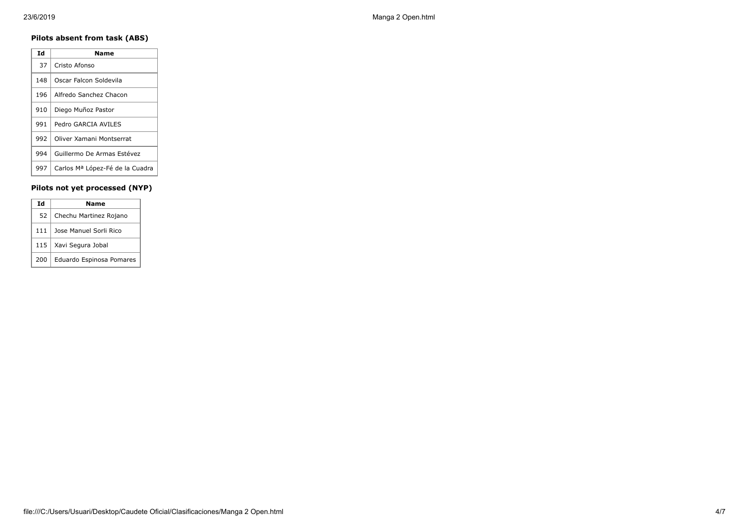### **Pilots absent from task (ABS)**

| Ιd  | Name                            |
|-----|---------------------------------|
| 37  | Cristo Afonso                   |
| 148 | Oscar Falcon Soldevila          |
| 196 | Alfredo Sanchez Chacon          |
| 910 | Diego Muñoz Pastor              |
| 991 | Pedro GARCIA AVILES             |
| 992 | Oliver Xamani Montserrat        |
| 994 | Guillermo De Armas Estévez      |
| 997 | Carlos Mª López-Fé de la Cuadra |

### **Pilots not yet processed (NYP)**

| Ιd  | Name                     |
|-----|--------------------------|
| 52  | Chechu Martinez Rojano   |
| 111 | Jose Manuel Sorli Rico   |
| 115 | Xavi Segura Jobal        |
| 200 | Eduardo Espinosa Pomares |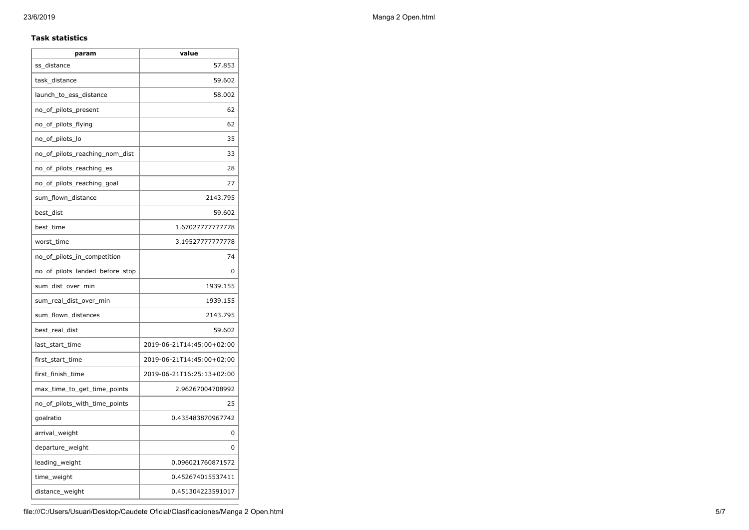#### **Task statistics**

| param                           | value                     |
|---------------------------------|---------------------------|
| ss_distance                     | 57.853                    |
| task distance                   | 59.602                    |
| launch_to_ess_distance          | 58.002                    |
| no_of_pilots_present            | 62                        |
| no_of_pilots_flying             | 62                        |
| no_of_pilots_lo                 | 35                        |
| no_of_pilots_reaching_nom_dist  | 33                        |
| no_of_pilots_reaching_es        | 28                        |
| no_of_pilots_reaching_goal      | 27                        |
| sum_flown_distance              | 2143.795                  |
| best_dist                       | 59.602                    |
| best time                       | 1.67027777777778          |
| worst_time                      | 3.19527777777778          |
| no_of_pilots_in_competition     | 74                        |
| no_of_pilots_landed_before_stop | 0                         |
| sum_dist_over_min               | 1939.155                  |
| sum_real_dist_over_min          | 1939.155                  |
| sum_flown_distances             | 2143.795                  |
| best real dist                  | 59.602                    |
| last_start_time                 | 2019-06-21T14:45:00+02:00 |
| first start time                | 2019-06-21T14:45:00+02:00 |
| first_finish_time               | 2019-06-21T16:25:13+02:00 |
| max_time_to_get_time_points     | 2.96267004708992          |
| no_of_pilots_with_time_points   | 25                        |
| goalratio                       | 0.435483870967742         |
| arrival_weight                  | 0                         |
| departure_weight                | 0                         |
| leading_weight                  | 0.096021760871572         |
| time_weight                     | 0.452674015537411         |
| distance_weight                 | 0.451304223591017         |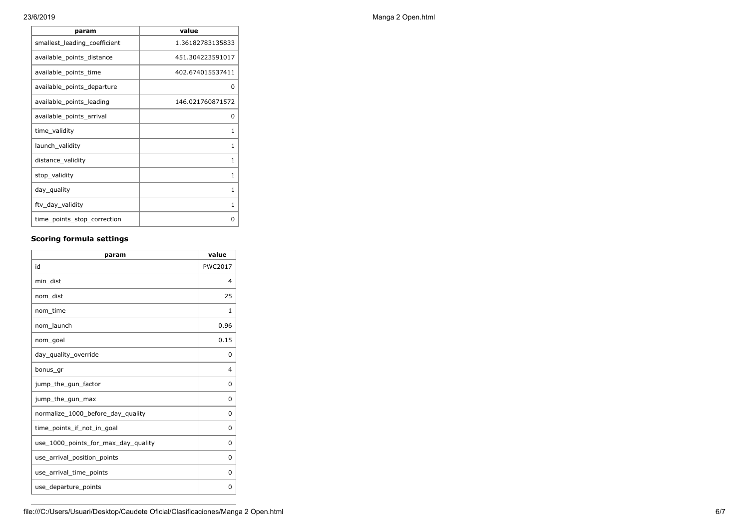| param                        | value            |
|------------------------------|------------------|
| smallest leading coefficient | 1.36182783135833 |
| available_points_distance    | 451.304223591017 |
| available_points_time        | 402.674015537411 |
| available_points_departure   | O                |
| available points leading     | 146.021760871572 |
| available_points_arrival     | <sup>0</sup>     |
| time_validity                | 1                |
| launch_validity              | 1                |
| distance_validity            | 1                |
| stop_validity                | 1                |
| day_quality                  | 1                |
| ftv_day_validity             | 1                |
| time_points_stop_correction  | ი                |

## **Scoring formula settings**

| param                               | value          |
|-------------------------------------|----------------|
| id                                  | <b>PWC2017</b> |
| min dist                            | 4              |
| nom dist                            | 25             |
| nom time                            | 1              |
| nom launch                          | 0.96           |
| nom_goal                            | 0.15           |
| day_quality_override                | 0              |
| bonus_gr                            | $\overline{4}$ |
| jump_the_gun_factor                 | $\Omega$       |
| jump_the_gun_max                    | 0              |
| normalize 1000 before day quality   | 0              |
| time points if not in goal          | 0              |
| use_1000_points_for_max_day_quality | $\Omega$       |
| use_arrival_position_points         | 0              |
| use_arrival_time_points             | $\Omega$       |
| use_departure_points                | 0              |